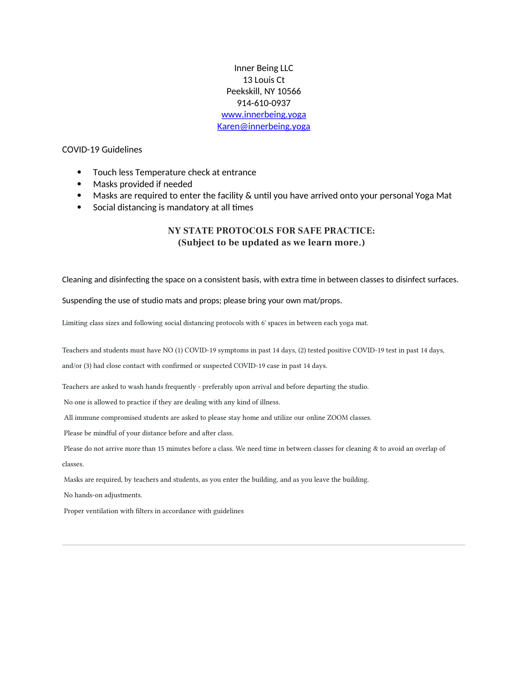Inner Being LLC 13 Louis Ct Peekskill. NY 10566 914-610-0937 www.innerbeing.yoga Karen@innerbeing.yoga

### **COVID-19 Guidelines**

- Touch less Temperature check at entrance  $\bullet$
- Masks provided if needed
- Masks are required to enter the facility & until you have arrived onto your personal Yoga Mat
- Social distancing is mandatory at all times

## NY STATE PROTOCOLS FOR SAFE PRACTICE: (Subject to be updated as we learn more.)

Cleaning and disinfecting the space on a consistent basis, with extra time in between classes to disinfect surfaces.

Suspending the use of studio mats and props; please bring your own mat/props.

Limiting class sizes and following social distancing protocols with 6' spaces in between each yoga mat.

Teachers and students must have NO (1) COVID-19 symptoms in past 14 days, (2) tested positive COVID-19 test in past 14 days,

and/or (3) had close contact with confirmed or suspected COVID-19 case in past 14 days.

Teachers are asked to wash hands frequently - preferably upon arrival and before departing the studio.

No one is allowed to practice if they are dealing with any kind of illness.

All immune compromised students are asked to please stay home and utilize our online ZOOM classes.

Please be mindful of your distance before and after class.

Please do not arrive more than 15 minutes before a class. We need time in between classes for cleaning & to avoid an overlap of classes.

Masks are required, by teachers and students, as you enter the building, and as you leave the building.

No hands-on adjustments.

Proper ventilation with filters in accordance with guidelines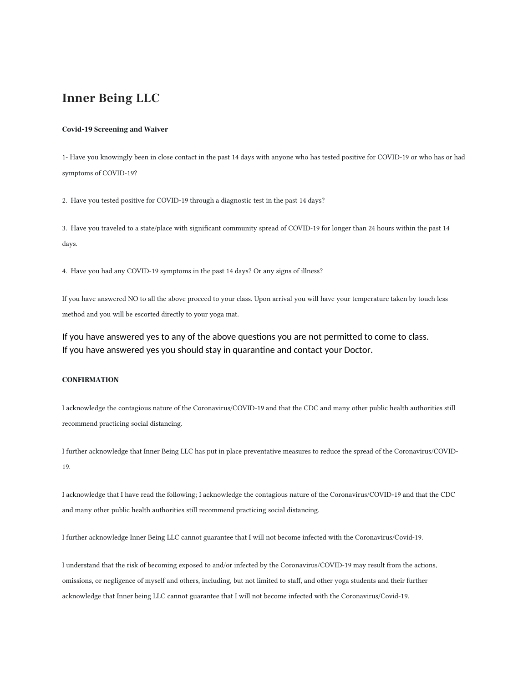# **Inner Being LLC**

#### **Covid-19 Screening and Waiver**

1- Have you knowingly been in close contact in the past 14 days with anyone who has tested positive for COVID-19 or who has or had symptoms of COVID-19?

2. Have you tested positive for COVID-19 through a diagnostic test in the past 14 days?

3. Have you traveled to a state/place with significant community spread of COVID-19 for longer than 24 hours within the past 14 days.

4. Have you had any COVID-19 symptoms in the past 14 days? Or any signs of illness?

If you have answered NO to all the above proceed to your class. Upon arrival you will have your temperature taken by touch less method and you will be escorted directly to your yoga mat.

If you have answered yes to any of the above questions you are not permitted to come to class. If you have answered yes you should stay in quarantine and contact your Doctor.

### **CONFIRMATION**

I acknowledge the contagious nature of the Coronavirus/COVID-19 and that the CDC and many other public health authorities still recommend practicing social distancing.

I further acknowledge that Inner Being LLC has put in place preventative measures to reduce the spread of the Coronavirus/COVID-19.

I acknowledge that I have read the following; I acknowledge the contagious nature of the Coronavirus/COVID-19 and that the CDC and many other public health authorities still recommend practicing social distancing.

I further acknowledge Inner Being LLC cannot guarantee that I will not become infected with the Coronavirus/Covid-19.

I understand that the risk of becoming exposed to and/or infected by the Coronavirus/COVID-19 may result from the actions, omissions, or negligence of myself and others, including, but not limited to staff, and other yoga students and their further acknowledge that Inner being LLC cannot guarantee that I will not become infected with the Coronavirus/Covid-19.